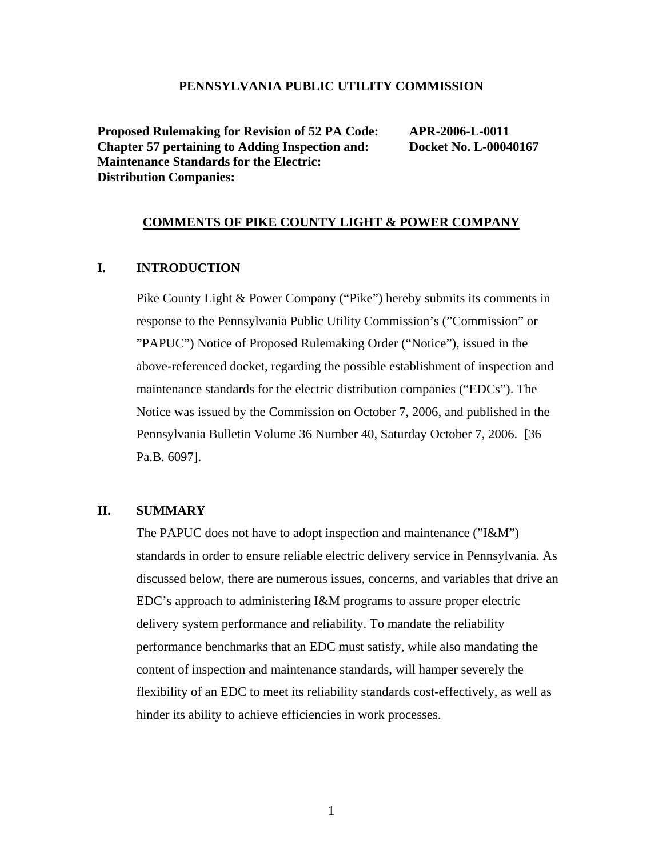#### **PENNSYLVANIA PUBLIC UTILITY COMMISSION**

**Proposed Rulemaking for Revision of 52 PA Code: APR-2006-L-0011 Chapter 57 pertaining to Adding Inspection and: Docket No. L-00040167 Maintenance Standards for the Electric: Distribution Companies:** 

#### **COMMENTS OF PIKE COUNTY LIGHT & POWER COMPANY**

## **I. INTRODUCTION**

Pike County Light & Power Company ("Pike") hereby submits its comments in response to the Pennsylvania Public Utility Commission's ("Commission" or "PAPUC") Notice of Proposed Rulemaking Order ("Notice"), issued in the above-referenced docket, regarding the possible establishment of inspection and maintenance standards for the electric distribution companies ("EDCs"). The Notice was issued by the Commission on October 7, 2006, and published in the Pennsylvania Bulletin Volume 36 Number 40, Saturday October 7, 2006. [36 Pa.B. 6097].

#### **II. SUMMARY**

The PAPUC does not have to adopt inspection and maintenance ("I&M") standards in order to ensure reliable electric delivery service in Pennsylvania. As discussed below, there are numerous issues, concerns, and variables that drive an EDC's approach to administering I&M programs to assure proper electric delivery system performance and reliability. To mandate the reliability performance benchmarks that an EDC must satisfy, while also mandating the content of inspection and maintenance standards, will hamper severely the flexibility of an EDC to meet its reliability standards cost-effectively, as well as hinder its ability to achieve efficiencies in work processes.

1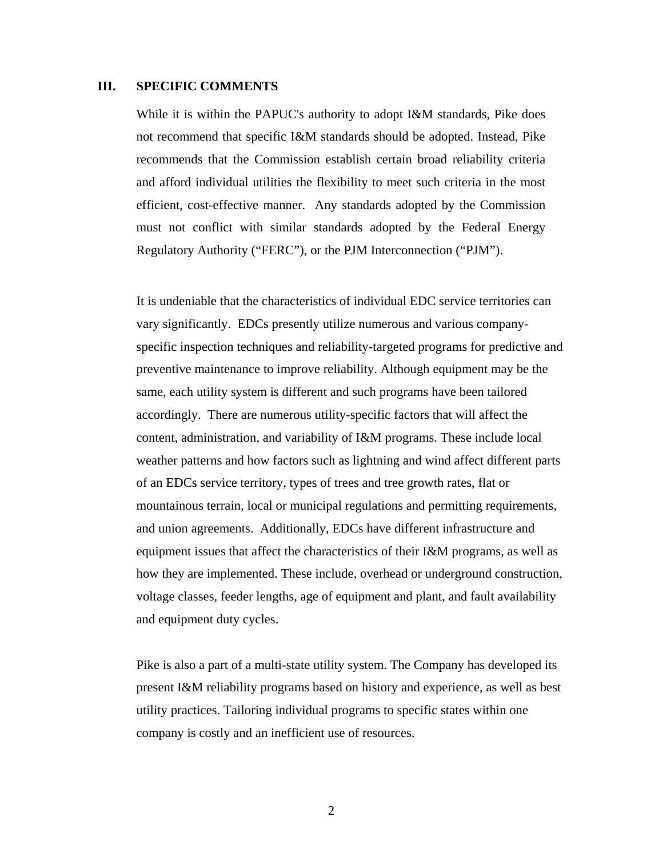#### **III. SPECIFIC COMMENTS**

While it is within the PAPUC's authority to adopt I&M standards, Pike does not recommend that specific I&M standards should be adopted. Instead, Pike recommends that the Commission establish certain broad reliability criteria and afford individual utilities the flexibility to meet such criteria in the most efficient, cost-effective manner. Any standards adopted by the Commission must not conflict with similar standards adopted by the Federal Energy Regulatory Authority ("FERC"), or the PJM Interconnection ("PJM").

It is undeniable that the characteristics of individual EDC service territories can vary significantly. EDCs presently utilize numerous and various companyspecific inspection techniques and reliability-targeted programs for predictive and preventive maintenance to improve reliability. Although equipment may be the same, each utility system is different and such programs have been tailored accordingly. There are numerous utility-specific factors that will affect the content, administration, and variability of I&M programs. These include local weather patterns and how factors such as lightning and wind affect different parts of an EDCs service territory, types of trees and tree growth rates, flat or mountainous terrain, local or municipal regulations and permitting requirements, and union agreements. Additionally, EDCs have different infrastructure and equipment issues that affect the characteristics of their I&M programs, as well as how they are implemented. These include, overhead or underground construction, voltage classes, feeder lengths, age of equipment and plant, and fault availability and equipment duty cycles.

Pike is also a part of a multi-state utility system. The Company has developed its present I&M reliability programs based on history and experience, as well as best utility practices. Tailoring individual programs to specific states within one company is costly and an inefficient use of resources.

2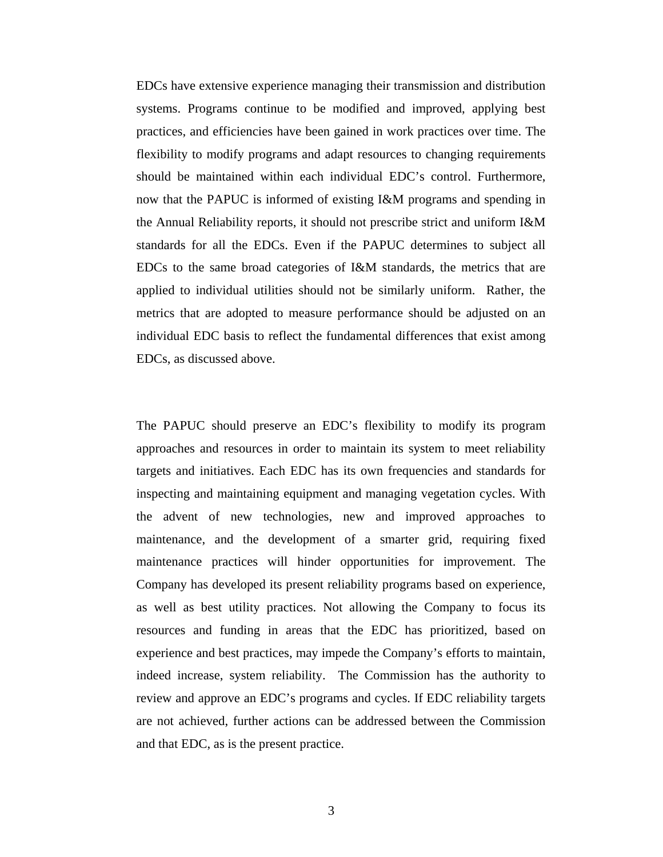EDCs have extensive experience managing their transmission and distribution systems. Programs continue to be modified and improved, applying best practices, and efficiencies have been gained in work practices over time. The flexibility to modify programs and adapt resources to changing requirements should be maintained within each individual EDC's control. Furthermore, now that the PAPUC is informed of existing I&M programs and spending in the Annual Reliability reports, it should not prescribe strict and uniform I&M standards for all the EDCs. Even if the PAPUC determines to subject all EDCs to the same broad categories of I&M standards, the metrics that are applied to individual utilities should not be similarly uniform. Rather, the metrics that are adopted to measure performance should be adjusted on an individual EDC basis to reflect the fundamental differences that exist among EDCs, as discussed above.

The PAPUC should preserve an EDC's flexibility to modify its program approaches and resources in order to maintain its system to meet reliability targets and initiatives. Each EDC has its own frequencies and standards for inspecting and maintaining equipment and managing vegetation cycles. With the advent of new technologies, new and improved approaches to maintenance, and the development of a smarter grid, requiring fixed maintenance practices will hinder opportunities for improvement. The Company has developed its present reliability programs based on experience, as well as best utility practices. Not allowing the Company to focus its resources and funding in areas that the EDC has prioritized, based on experience and best practices, may impede the Company's efforts to maintain, indeed increase, system reliability. The Commission has the authority to review and approve an EDC's programs and cycles. If EDC reliability targets are not achieved, further actions can be addressed between the Commission and that EDC, as is the present practice.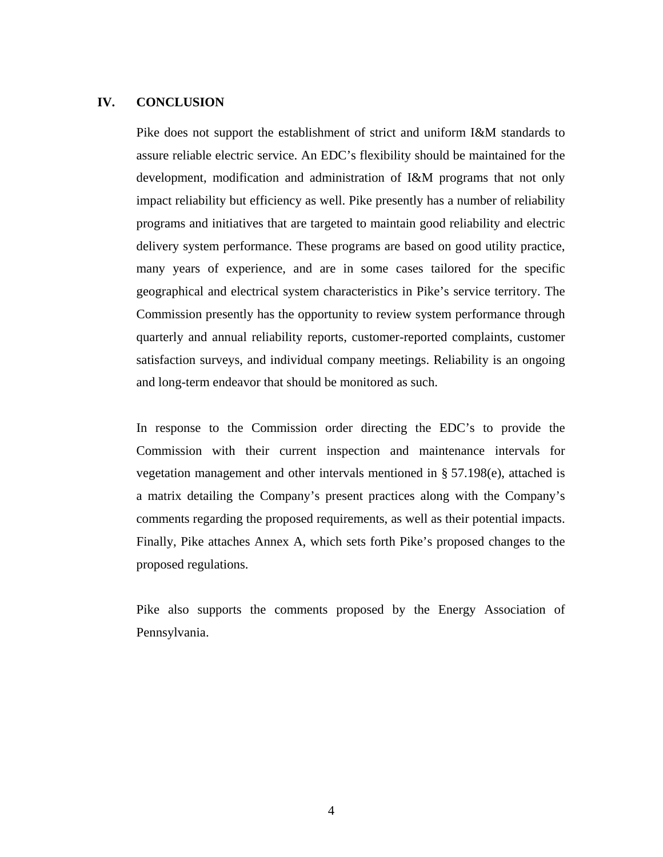### **IV. CONCLUSION**

Pike does not support the establishment of strict and uniform I&M standards to assure reliable electric service. An EDC's flexibility should be maintained for the development, modification and administration of I&M programs that not only impact reliability but efficiency as well. Pike presently has a number of reliability programs and initiatives that are targeted to maintain good reliability and electric delivery system performance. These programs are based on good utility practice, many years of experience, and are in some cases tailored for the specific geographical and electrical system characteristics in Pike's service territory. The Commission presently has the opportunity to review system performance through quarterly and annual reliability reports, customer-reported complaints, customer satisfaction surveys, and individual company meetings. Reliability is an ongoing and long-term endeavor that should be monitored as such.

In response to the Commission order directing the EDC's to provide the Commission with their current inspection and maintenance intervals for vegetation management and other intervals mentioned in § 57.198(e), attached is a matrix detailing the Company's present practices along with the Company's comments regarding the proposed requirements, as well as their potential impacts. Finally, Pike attaches Annex A, which sets forth Pike's proposed changes to the proposed regulations.

Pike also supports the comments proposed by the Energy Association of Pennsylvania.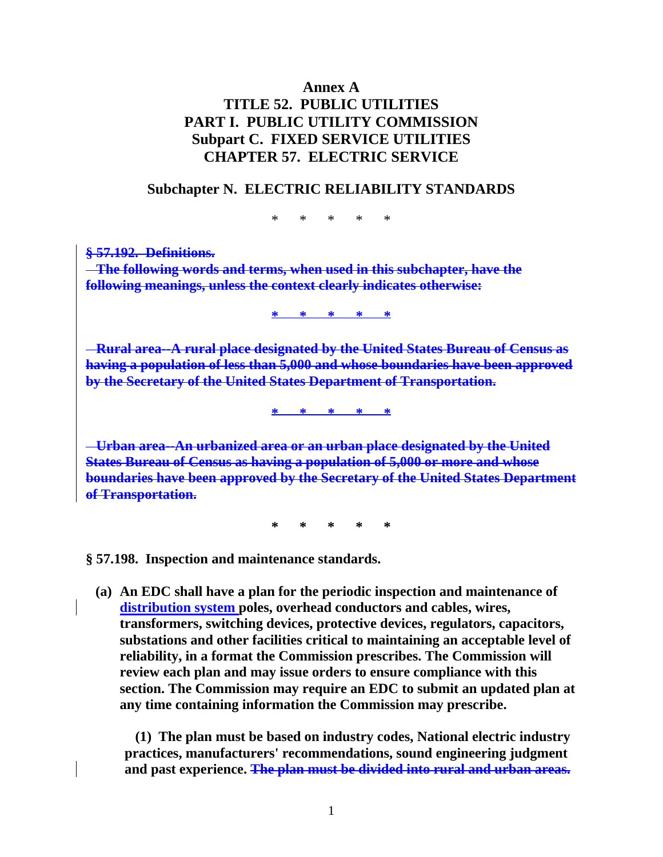# **Annex A TITLE 52. PUBLIC UTILITIES PART I. PUBLIC UTILITY COMMISSION Subpart C. FIXED SERVICE UTILITIES CHAPTER 57. ELECTRIC SERVICE**

# **Subchapter N. ELECTRIC RELIABILITY STANDARDS**

\* \* \* \* \*

**§ 57.192. Definitions. The following words and terms, when used in this subchapter, have the following meanings, unless the context clearly indicates otherwise:** 

**\* \* \* \* \***

 **Rural area--A rural place designated by the United States Bureau of Census as having a population of less than 5,000 and whose boundaries have been approved by the Secretary of the United States Department of Transportation.**

**\* \* \* \* \***

 **Urban area--An urbanized area or an urban place designated by the United States Bureau of Census as having a population of 5,000 or more and whose boundaries have been approved by the Secretary of the United States Department of Transportation.**

**\* \* \* \* \*** 

**§ 57.198. Inspection and maintenance standards.** 

**(a) An EDC shall have a plan for the periodic inspection and maintenance of distribution system poles, overhead conductors and cables, wires, transformers, switching devices, protective devices, regulators, capacitors, substations and other facilities critical to maintaining an acceptable level of reliability, in a format the Commission prescribes. The Commission will review each plan and may issue orders to ensure compliance with this section. The Commission may require an EDC to submit an updated plan at any time containing information the Commission may prescribe.** 

 **(1) The plan must be based on industry codes, National electric industry practices, manufacturers' recommendations, sound engineering judgment and past experience. The plan must be divided into rural and urban areas.**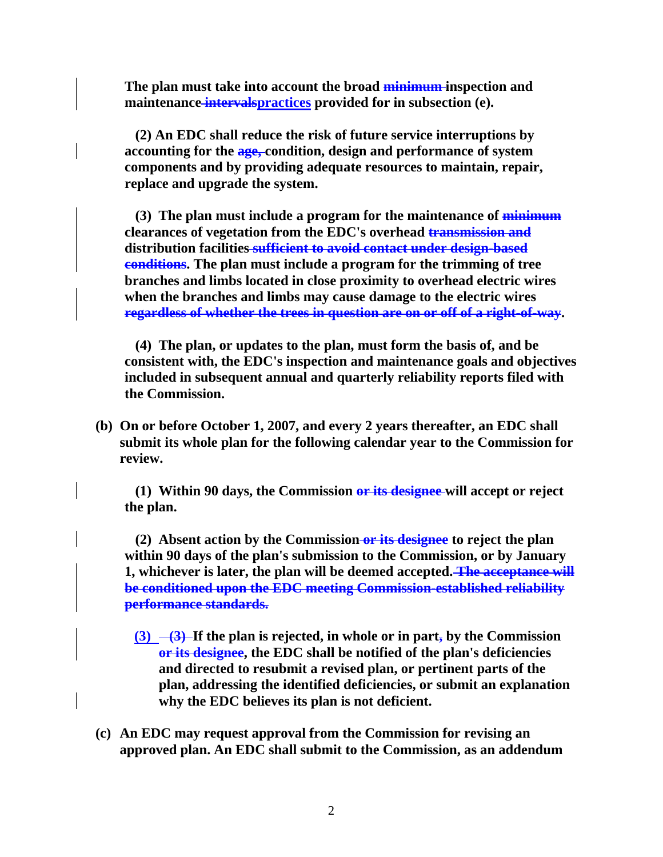**The plan must take into account the broad minimum inspection and maintenance intervalspractices provided for in subsection (e).** 

 **(2) An EDC shall reduce the risk of future service interruptions by accounting for the age, condition, design and performance of system components and by providing adequate resources to maintain, repair, replace and upgrade the system.** 

 **(3) The plan must include a program for the maintenance of minimum clearances of vegetation from the EDC's overhead transmission and distribution facilities sufficient to avoid contact under design-based conditions. The plan must include a program for the trimming of tree branches and limbs located in close proximity to overhead electric wires when the branches and limbs may cause damage to the electric wires regardless of whether the trees in question are on or off of a right-of-way.** 

 **(4) The plan, or updates to the plan, must form the basis of, and be consistent with, the EDC's inspection and maintenance goals and objectives included in subsequent annual and quarterly reliability reports filed with the Commission.** 

**(b) On or before October 1, 2007, and every 2 years thereafter, an EDC shall submit its whole plan for the following calendar year to the Commission for review.** 

 **(1) Within 90 days, the Commission or its designee will accept or reject the plan.** 

 **(2) Absent action by the Commission or its designee to reject the plan within 90 days of the plan's submission to the Commission, or by January 1, whichever is later, the plan will be deemed accepted. The acceptance will be conditioned upon the EDC meeting Commission-established reliability performance standards.**

- **(3)**  $\rightarrow$  **(3)** If the plan is rejected, in whole or in part, by the Commission **or its designee, the EDC shall be notified of the plan's deficiencies and directed to resubmit a revised plan, or pertinent parts of the plan, addressing the identified deficiencies, or submit an explanation why the EDC believes its plan is not deficient.**
- **(c) An EDC may request approval from the Commission for revising an approved plan. An EDC shall submit to the Commission, as an addendum**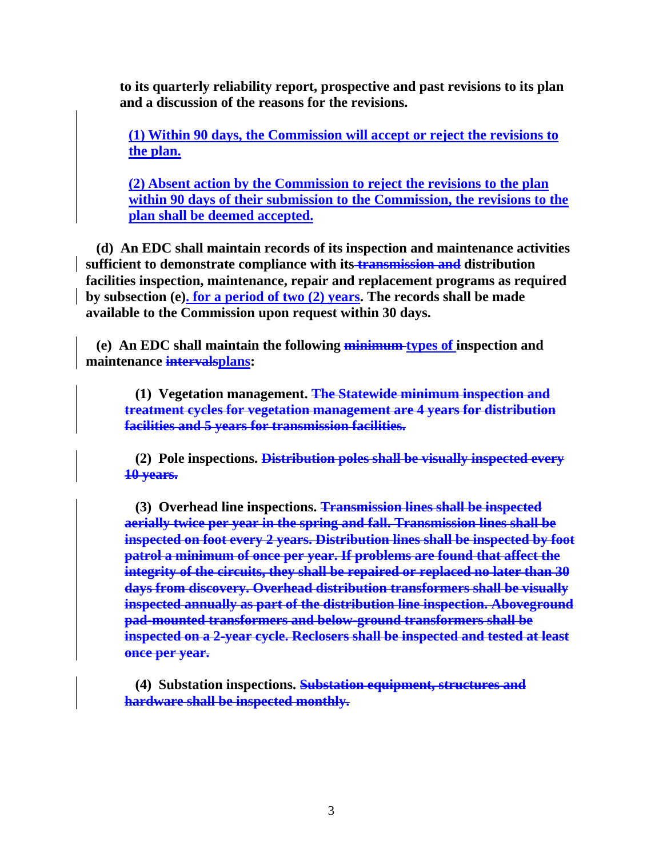**to its quarterly reliability report, prospective and past revisions to its plan and a discussion of the reasons for the revisions.** 

**(1) Within 90 days, the Commission will accept or reject the revisions to the plan.**

**(2) Absent action by the Commission to reject the revisions to the plan within 90 days of their submission to the Commission, the revisions to the plan shall be deemed accepted.**

 **(d) An EDC shall maintain records of its inspection and maintenance activities sufficient to demonstrate compliance with its transmission and distribution facilities inspection, maintenance, repair and replacement programs as required by subsection (e). for a period of two (2) years. The records shall be made available to the Commission upon request within 30 days.** 

 **(e) An EDC shall maintain the following minimum types of inspection and maintenance intervalsplans:** 

 **(1) Vegetation management. The Statewide minimum inspection and treatment cycles for vegetation management are 4 years for distribution facilities and 5 years for transmission facilities.**

 **(2) Pole inspections. Distribution poles shall be visually inspected every 10 years.**

 **(3) Overhead line inspections. Transmission lines shall be inspected aerially twice per year in the spring and fall. Transmission lines shall be inspected on foot every 2 years. Distribution lines shall be inspected by foot patrol a minimum of once per year. If problems are found that affect the integrity of the circuits, they shall be repaired or replaced no later than 30 days from discovery. Overhead distribution transformers shall be visually inspected annually as part of the distribution line inspection. Aboveground pad-mounted transformers and below-ground transformers shall be inspected on a 2-year cycle. Reclosers shall be inspected and tested at least once per year.**

 **(4) Substation inspections. Substation equipment, structures and hardware shall be inspected monthly.**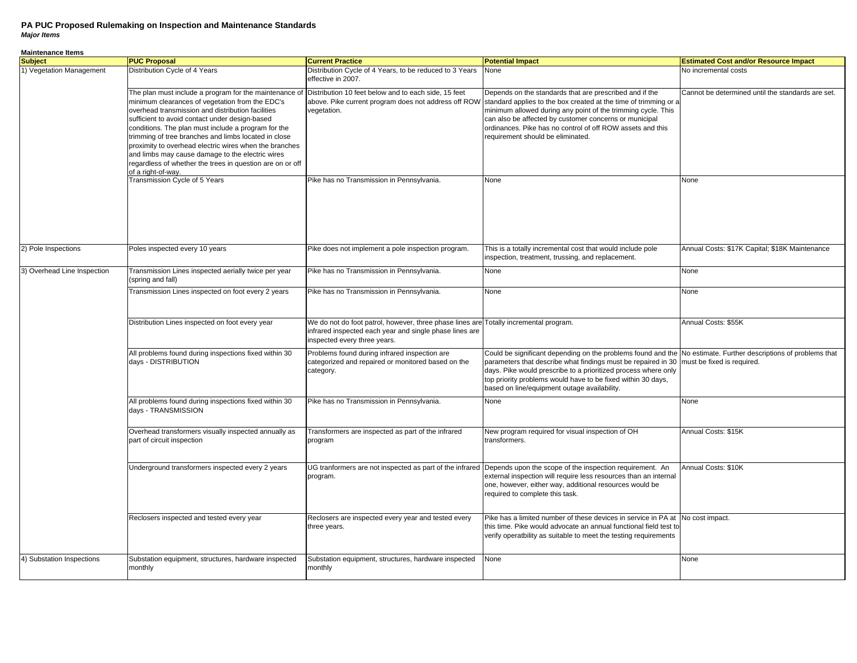**Maintenance Items**

| <u>unnonunoo nomo</u><br><b>Subject</b> | <b>PUC Proposal</b>                                                                                                                                                                                                                                                                                                                                                                                                                                                                                                              | <b>Current Practice</b>                                                                                                                                                          | <b>Potential Impact</b>                                                                                                                                                                                                                                                                                                                                                                                       | <b>Estimated Cost and/or Resource Impact</b>      |
|-----------------------------------------|----------------------------------------------------------------------------------------------------------------------------------------------------------------------------------------------------------------------------------------------------------------------------------------------------------------------------------------------------------------------------------------------------------------------------------------------------------------------------------------------------------------------------------|----------------------------------------------------------------------------------------------------------------------------------------------------------------------------------|---------------------------------------------------------------------------------------------------------------------------------------------------------------------------------------------------------------------------------------------------------------------------------------------------------------------------------------------------------------------------------------------------------------|---------------------------------------------------|
| 1) Vegetation Management                | Distribution Cycle of 4 Years                                                                                                                                                                                                                                                                                                                                                                                                                                                                                                    | Distribution Cycle of 4 Years, to be reduced to 3 Years<br>effective in 2007.                                                                                                    | None                                                                                                                                                                                                                                                                                                                                                                                                          | No incremental costs                              |
|                                         | The plan must include a program for the maintenance of<br>minimum clearances of vegetation from the EDC's<br>overhead transmission and distribution facilities<br>sufficient to avoid contact under design-based<br>conditions. The plan must include a program for the<br>trimming of tree branches and limbs located in close<br>proximity to overhead electric wires when the branches<br>and limbs may cause damage to the electric wires<br>regardless of whether the trees in question are on or off<br>of a right-of-way. | Distribution 10 feet below and to each side, 15 feet<br>vegetation.                                                                                                              | Depends on the standards that are prescribed and if the<br>above. Pike current program does not address off ROW standard applies to the box created at the time of trimming or a<br>minimum allowed during any point of the trimming cycle. This<br>can also be affected by customer concerns or municipal<br>ordinances. Pike has no control of off ROW assets and this<br>requirement should be eliminated. | Cannot be determined until the standards are set. |
|                                         | Transmission Cycle of 5 Years                                                                                                                                                                                                                                                                                                                                                                                                                                                                                                    | Pike has no Transmission in Pennsylvania.                                                                                                                                        | None                                                                                                                                                                                                                                                                                                                                                                                                          | None                                              |
| 2) Pole Inspections                     | Poles inspected every 10 years                                                                                                                                                                                                                                                                                                                                                                                                                                                                                                   | Pike does not implement a pole inspection program.                                                                                                                               | This is a totally incremental cost that would include pole<br>inspection, treatment, trussing, and replacement.                                                                                                                                                                                                                                                                                               | Annual Costs: \$17K Capital; \$18K Maintenance    |
| 3) Overhead Line Inspection             | Transmission Lines inspected aerially twice per year<br>(spring and fall)                                                                                                                                                                                                                                                                                                                                                                                                                                                        | Pike has no Transmission in Pennsylvania.                                                                                                                                        | None                                                                                                                                                                                                                                                                                                                                                                                                          | None                                              |
|                                         | Transmission Lines inspected on foot every 2 years                                                                                                                                                                                                                                                                                                                                                                                                                                                                               | Pike has no Transmission in Pennsylvania.                                                                                                                                        | None                                                                                                                                                                                                                                                                                                                                                                                                          | None                                              |
|                                         | Distribution Lines inspected on foot every year                                                                                                                                                                                                                                                                                                                                                                                                                                                                                  | We do not do foot patrol, however, three phase lines are Totally incremental program.<br>infrared inspected each year and single phase lines are<br>inspected every three years. |                                                                                                                                                                                                                                                                                                                                                                                                               | Annual Costs: \$55K                               |
|                                         | All problems found during inspections fixed within 30<br>days - DISTRIBUTION                                                                                                                                                                                                                                                                                                                                                                                                                                                     | Problems found during infrared inspection are<br>categorized and repaired or monitored based on the<br>category.                                                                 | Could be significant depending on the problems found and the No estimate. Further descriptions of problems that<br>parameters that describe what findings must be repaired in 30<br>days. Pike would prescribe to a prioritized process where only<br>top priority problems would have to be fixed within 30 days,<br>based on line/equipment outage availability.                                            | must be fixed is required.                        |
|                                         | All problems found during inspections fixed within 30<br>days - TRANSMISSION                                                                                                                                                                                                                                                                                                                                                                                                                                                     | Pike has no Transmission in Pennsylvania.                                                                                                                                        | None                                                                                                                                                                                                                                                                                                                                                                                                          | None                                              |
|                                         | Overhead transformers visually inspected annually as<br>part of circuit inspection                                                                                                                                                                                                                                                                                                                                                                                                                                               | Transformers are inspected as part of the infrared<br>program                                                                                                                    | New program required for visual inspection of OH<br>transformers.                                                                                                                                                                                                                                                                                                                                             | Annual Costs: \$15K                               |
|                                         | Underground transformers inspected every 2 years                                                                                                                                                                                                                                                                                                                                                                                                                                                                                 | UG tranformers are not inspected as part of the infrared<br>program.                                                                                                             | Depends upon the scope of the inspection requirement. An<br>external inspection will require less resources than an internal<br>one, however, either way, additional resources would be<br>required to complete this task.                                                                                                                                                                                    | Annual Costs: \$10K                               |
|                                         | Reclosers inspected and tested every year                                                                                                                                                                                                                                                                                                                                                                                                                                                                                        | Reclosers are inspected every year and tested every<br>three years.                                                                                                              | Pike has a limited number of these devices in service in PA at No cost impact.<br>this time. Pike would advocate an annual functional field test to<br>verify operatbility as suitable to meet the testing requirements                                                                                                                                                                                       |                                                   |
| 4) Substation Inspections               | Substation equipment, structures, hardware inspected<br>monthly                                                                                                                                                                                                                                                                                                                                                                                                                                                                  | Substation equipment, structures, hardware inspected<br>monthly                                                                                                                  | None                                                                                                                                                                                                                                                                                                                                                                                                          | None                                              |